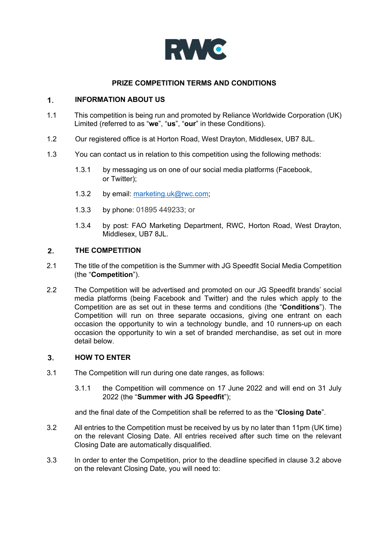

# **PRIZE COMPETITION TERMS AND CONDITIONS**

# **INFORMATION ABOUT US**   $1<sub>1</sub>$

- 1.1 This competition is being run and promoted by Reliance Worldwide Corporation (UK) Limited (referred to as "**we**", "**us**", "**our**" in these Conditions).
- 1.2 Our registered office is at Horton Road, West Drayton, Middlesex, UB7 8JL.
- 1.3 You can contact us in relation to this competition using the following methods:
	- 1.3.1 by messaging us on one of our social media platforms (Facebook, or Twitter);
	- 1.3.2 by email: marketing.uk@rwc.com;
	- 1.3.3 by phone: 01895 449233; or
	- 1.3.4 by post: FAO Marketing Department, RWC, Horton Road, West Drayton, Middlesex, UB7 8JL.

### **THE COMPETITION**   $2.$

- 2.1 The title of the competition is the Summer with JG Speedfit Social Media Competition (the "**Competition**").
- 2.2 The Competition will be advertised and promoted on our JG Speedfit brands' social media platforms (being Facebook and Twitter) and the rules which apply to the Competition are as set out in these terms and conditions (the "**Conditions**"). The Competition will run on three separate occasions, giving one entrant on each occasion the opportunity to win a technology bundle, and 10 runners-up on each occasion the opportunity to win a set of branded merchandise, as set out in more detail below.

# $3.$ **HOW TO ENTER**

- 3.1 The Competition will run during one date ranges, as follows:
	- 3.1.1 the Competition will commence on 17 June 2022 and will end on 31 July 2022 (the "**Summer with JG Speedfit**");

and the final date of the Competition shall be referred to as the "**Closing Date**".

- 3.2 All entries to the Competition must be received by us by no later than 11pm (UK time) on the relevant Closing Date. All entries received after such time on the relevant Closing Date are automatically disqualified.
- 3.3 In order to enter the Competition, prior to the deadline specified in clause 3.2 above on the relevant Closing Date, you will need to: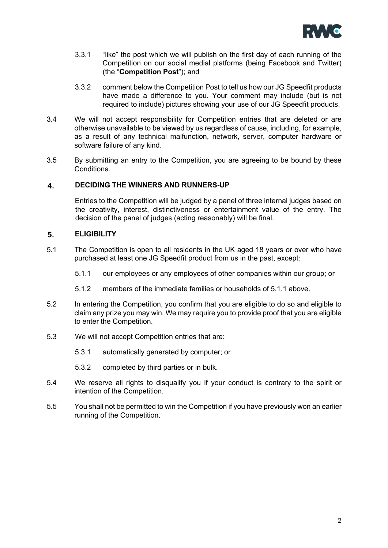

- 3.3.1 "like" the post which we will publish on the first day of each running of the Competition on our social medial platforms (being Facebook and Twitter) (the "**Competition Post**"); and
- 3.3.2 comment below the Competition Post to tell us how our JG Speedfit products have made a difference to you. Your comment may include (but is not required to include) pictures showing your use of our JG Speedfit products.
- 3.4 We will not accept responsibility for Competition entries that are deleted or are otherwise unavailable to be viewed by us regardless of cause, including, for example, as a result of any technical malfunction, network, server, computer hardware or software failure of any kind.
- 3.5 By submitting an entry to the Competition, you are agreeing to be bound by these Conditions.

### 4. **DECIDING THE WINNERS AND RUNNERS-UP**

Entries to the Competition will be judged by a panel of three internal judges based on the creativity, interest, distinctiveness or entertainment value of the entry. The decision of the panel of judges (acting reasonably) will be final.

### 5. **ELIGIBILITY**

- 5.1 The Competition is open to all residents in the UK aged 18 years or over who have purchased at least one JG Speedfit product from us in the past, except:
	- 5.1.1 our employees or any employees of other companies within our group; or
	- 5.1.2 members of the immediate families or households of 5.1.1 above.
- 5.2 In entering the Competition, you confirm that you are eligible to do so and eligible to claim any prize you may win. We may require you to provide proof that you are eligible to enter the Competition.
- 5.3 We will not accept Competition entries that are:
	- 5.3.1 automatically generated by computer; or
	- 5.3.2 completed by third parties or in bulk.
- 5.4 We reserve all rights to disqualify you if your conduct is contrary to the spirit or intention of the Competition.
- 5.5 You shall not be permitted to win the Competition if you have previously won an earlier running of the Competition.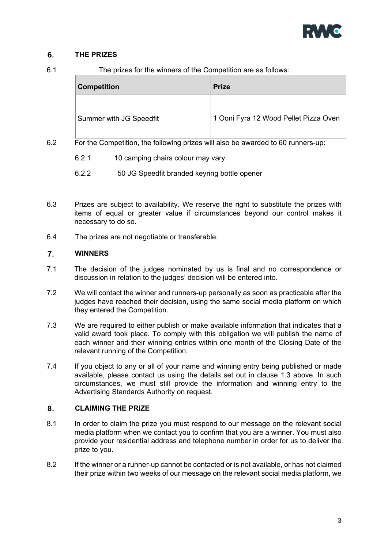

# 6. **THE PRIZES**

6.1 The prizes for the winners of the Competition are as follows:

| <b>Competition</b>      | <b>Prize</b>                          |
|-------------------------|---------------------------------------|
| Summer with JG Speedfit | 1 Ooni Fyra 12 Wood Pellet Pizza Oven |

- 6.2 For the Competition, the following prizes will also be awarded to 60 runners-up:
	- 6.2.1 10 camping chairs colour may vary.
	- 6.2.2 50 JG Speedfit branded keyring bottle opener
- 6.3 Prizes are subject to availability. We reserve the right to substitute the prizes with items of equal or greater value if circumstances beyond our control makes it necessary to do so.
- 6.4 The prizes are not negotiable or transferable.

# $\overline{7}$ . **WINNERS**

- 7.1 The decision of the judges nominated by us is final and no correspondence or discussion in relation to the judges' decision will be entered into.
- 7.2 We will contact the winner and runners-up personally as soon as practicable after the judges have reached their decision, using the same social media platform on which they entered the Competition.
- 7.3 We are required to either publish or make available information that indicates that a valid award took place. To comply with this obligation we will publish the name of each winner and their winning entries within one month of the Closing Date of the relevant running of the Competition.
- 7.4 If you object to any or all of your name and winning entry being published or made available, please contact us using the details set out in clause 1.3 above. In such circumstances, we must still provide the information and winning entry to the Advertising Standards Authority on request.

# 8. **CLAIMING THE PRIZE**

- 8.1 In order to claim the prize you must respond to our message on the relevant social media platform when we contact you to confirm that you are a winner. You must also provide your residential address and telephone number in order for us to deliver the prize to you.
- 8.2 If the winner or a runner-up cannot be contacted or is not available, or has not claimed their prize within two weeks of our message on the relevant social media platform, we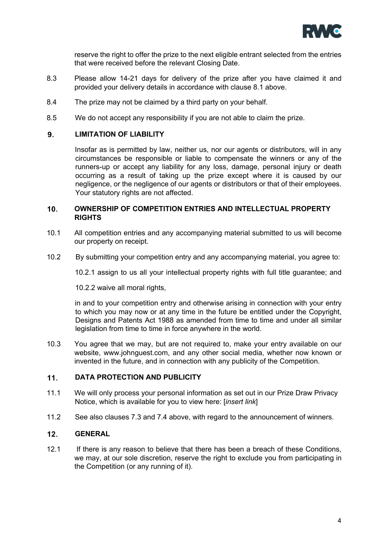

reserve the right to offer the prize to the next eligible entrant selected from the entries that were received before the relevant Closing Date.

- 8.3 Please allow 14-21 days for delivery of the prize after you have claimed it and provided your delivery details in accordance with clause 8.1 above.
- 8.4 The prize may not be claimed by a third party on your behalf.
- 8.5 We do not accept any responsibility if you are not able to claim the prize.

# $9<sub>1</sub>$ **LIMITATION OF LIABILITY**

Insofar as is permitted by law, neither us, nor our agents or distributors, will in any circumstances be responsible or liable to compensate the winners or any of the runners-up or accept any liability for any loss, damage, personal injury or death occurring as a result of taking up the prize except where it is caused by our negligence, or the negligence of our agents or distributors or that of their employees. Your statutory rights are not affected.

# **OWNERSHIP OF COMPETITION ENTRIES AND INTELLECTUAL PROPERTY**   $10.$ **RIGHTS**

- 10.1 All competition entries and any accompanying material submitted to us will become our property on receipt.
- 10.2 By submitting your competition entry and any accompanying material, you agree to:

10.2.1 assign to us all your intellectual property rights with full title guarantee; and

10.2.2 waive all moral rights,

in and to your competition entry and otherwise arising in connection with your entry to which you may now or at any time in the future be entitled under the Copyright, Designs and Patents Act 1988 as amended from time to time and under all similar legislation from time to time in force anywhere in the world.

10.3 You agree that we may, but are not required to, make your entry available on our website, www.johnguest.com, and any other social media, whether now known or invented in the future, and in connection with any publicity of the Competition.

### $11.$ **DATA PROTECTION AND PUBLICITY**

- 11.1 We will only process your personal information as set out in our Prize Draw Privacy Notice, which is available for you to view here: [*insert link*]
- 11.2 See also clauses 7.3 and 7.4 above, with regard to the announcement of winners.

# $12.$ **GENERAL**

12.1 If there is any reason to believe that there has been a breach of these Conditions, we may, at our sole discretion, reserve the right to exclude you from participating in the Competition (or any running of it).